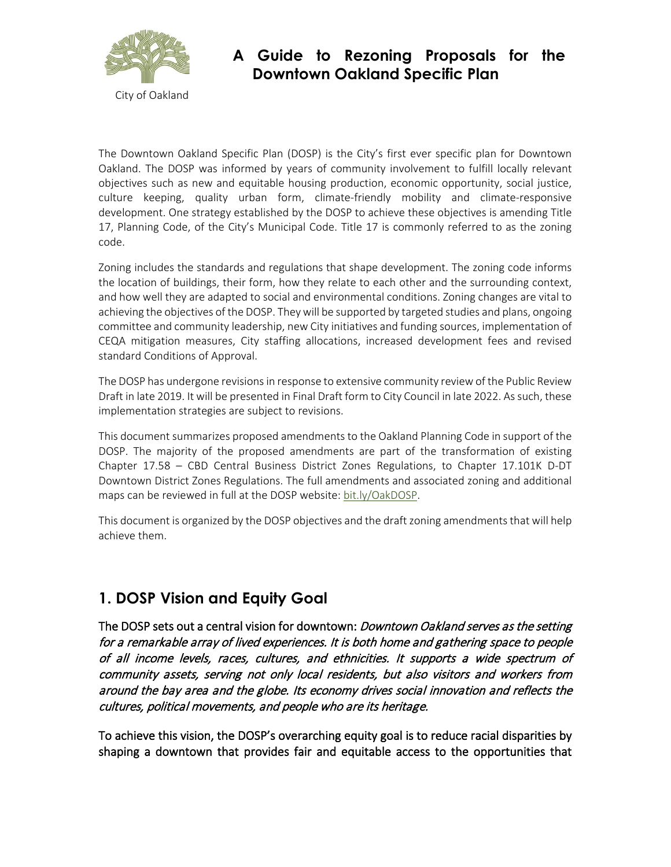

## **A Guide to Rezoning Proposals for the Downtown Oakland Specific Plan**

The Downtown Oakland Specific Plan (DOSP) is the City's first ever specific plan for Downtown Oakland. The DOSP was informed by years of community involvement to fulfill locally relevant objectives such as new and equitable housing production, economic opportunity, social justice, culture keeping, quality urban form, climate-friendly mobility and climate-responsive development. One strategy established by the DOSP to achieve these objectives is amending Title 17, Planning Code, of the City's Municipal Code. Title 17 is commonly referred to as the zoning code.

Zoning includes the standards and regulations that shape development. The zoning code informs the location of buildings, their form, how they relate to each other and the surrounding context, and how well they are adapted to social and environmental conditions. Zoning changes are vital to achieving the objectives of the DOSP. They will be supported by targeted studies and plans, ongoing committee and community leadership, new City initiatives and funding sources, implementation of CEQA mitigation measures, City staffing allocations, increased development fees and revised standard Conditions of Approval.

The DOSP has undergone revisions in response to extensive community review of the Public Review Draft in late 2019. It will be presented in Final Draft form to City Council in late 2022. As such, these implementation strategies are subject to revisions.

This document summarizes proposed amendments to the Oakland Planning Code in support of the DOSP. The majority of the proposed amendments are part of the transformation of existing Chapter 17.58 – CBD Central Business District Zones Regulations, to Chapter 17.101K D-DT Downtown District Zones Regulations. The full amendments and associated zoning and additional maps can be reviewed in full at the DOSP website[: bit.ly/OakDOSP.](https://www.oaklandca.gov/topics/downtown-oakland-specific-plan-zoning-amendments-downtown-plan)

This document is organized by the DOSP objectives and the draft zoning amendments that will help achieve them.

### **1. DOSP Vision and Equity Goal**

The DOSP sets out a central vision for downtown: *Downtown Oakland serves as the setting* for a remarkable array of lived experiences. It is both home and gathering space to people of all income levels, races, cultures, and ethnicities. It supports a wide spectrum of community assets, serving not only local residents, but also visitors and workers from around the bay area and the globe. Its economy drives social innovation and reflects the cultures, political movements, and people who are its heritage.

To achieve this vision, the DOSP's overarching equity goal is to reduce racial disparities by shaping a downtown that provides fair and equitable access to the opportunities that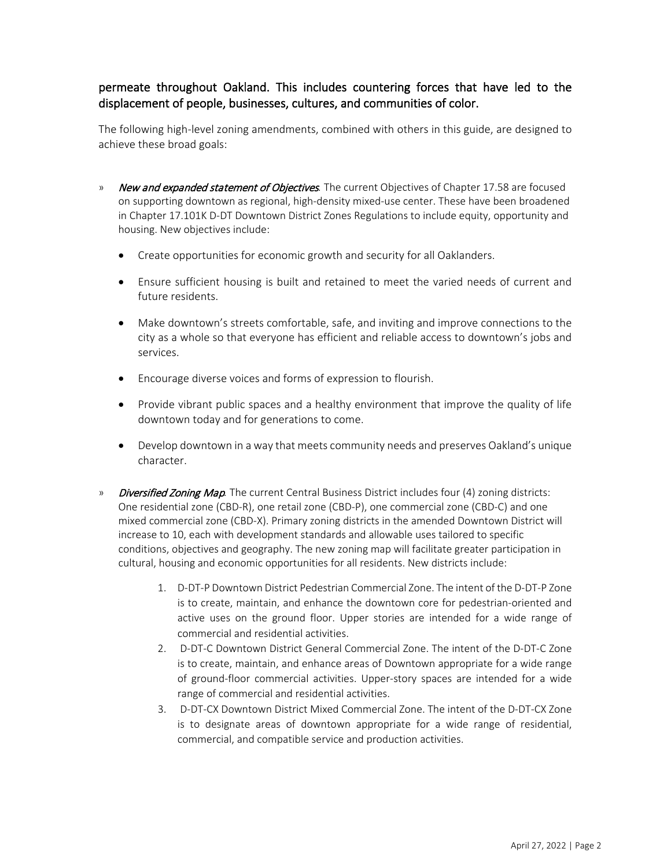#### permeate throughout Oakland. This includes countering forces that have led to the displacement of people, businesses, cultures, and communities of color.

The following high-level zoning amendments, combined with others in this guide, are designed to achieve these broad goals:

- » New and expanded statement of Objectives*.* The current Objectives of Chapter 17.58 are focused on supporting downtown as regional, high-density mixed-use center. These have been broadened in Chapter 17.101K D-DT Downtown District Zones Regulations to include equity, opportunity and housing. New objectives include:
	- Create opportunities for economic growth and security for all Oaklanders.
	- Ensure sufficient housing is built and retained to meet the varied needs of current and future residents.
	- Make downtown's streets comfortable, safe, and inviting and improve connections to the city as a whole so that everyone has efficient and reliable access to downtown's jobs and services.
	- Encourage diverse voices and forms of expression to flourish.
	- Provide vibrant public spaces and a healthy environment that improve the quality of life downtown today and for generations to come.
	- Develop downtown in a way that meets community needs and preserves Oakland's unique character.
- » Diversified Zoning Map*.* The current Central Business District includes four (4) zoning districts: One residential zone (CBD-R), one retail zone (CBD-P), one commercial zone (CBD-C) and one mixed commercial zone (CBD-X). Primary zoning districts in the amended Downtown District will increase to 10, each with development standards and allowable uses tailored to specific conditions, objectives and geography. The new zoning map will facilitate greater participation in cultural, housing and economic opportunities for all residents. New districts include:
	- 1. D-DT-P Downtown District Pedestrian Commercial Zone. The intent of the D-DT-P Zone is to create, maintain, and enhance the downtown core for pedestrian-oriented and active uses on the ground floor. Upper stories are intended for a wide range of commercial and residential activities.
	- 2. D-DT-C Downtown District General Commercial Zone. The intent of the D-DT-C Zone is to create, maintain, and enhance areas of Downtown appropriate for a wide range of ground-floor commercial activities. Upper-story spaces are intended for a wide range of commercial and residential activities.
	- 3. D-DT-CX Downtown District Mixed Commercial Zone. The intent of the D-DT-CX Zone is to designate areas of downtown appropriate for a wide range of residential, commercial, and compatible service and production activities.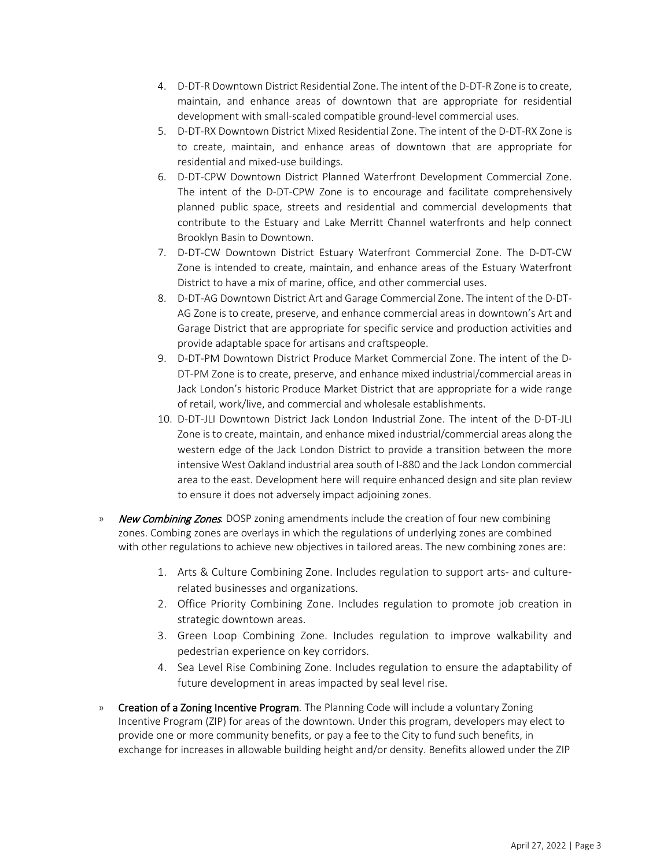- 4. D-DT-R Downtown District Residential Zone. The intent of the D-DT-R Zone is to create, maintain, and enhance areas of downtown that are appropriate for residential development with small-scaled compatible ground-level commercial uses.
- 5. D-DT-RX Downtown District Mixed Residential Zone. The intent of the D-DT-RX Zone is to create, maintain, and enhance areas of downtown that are appropriate for residential and mixed-use buildings.
- 6. D-DT-CPW Downtown District Planned Waterfront Development Commercial Zone. The intent of the D-DT-CPW Zone is to encourage and facilitate comprehensively planned public space, streets and residential and commercial developments that contribute to the Estuary and Lake Merritt Channel waterfronts and help connect Brooklyn Basin to Downtown.
- 7. D-DT-CW Downtown District Estuary Waterfront Commercial Zone. The D-DT-CW Zone is intended to create, maintain, and enhance areas of the Estuary Waterfront District to have a mix of marine, office, and other commercial uses.
- 8. D-DT-AG Downtown District Art and Garage Commercial Zone. The intent of the D-DT-AG Zone is to create, preserve, and enhance commercial areas in downtown's Art and Garage District that are appropriate for specific service and production activities and provide adaptable space for artisans and craftspeople.
- 9. D-DT-PM Downtown District Produce Market Commercial Zone. The intent of the D-DT-PM Zone is to create, preserve, and enhance mixed industrial/commercial areas in Jack London's historic Produce Market District that are appropriate for a wide range of retail, work/live, and commercial and wholesale establishments.
- 10. D-DT-JLI Downtown District Jack London Industrial Zone. The intent of the D-DT-JLI Zone is to create, maintain, and enhance mixed industrial/commercial areas along the western edge of the Jack London District to provide a transition between the more intensive West Oakland industrial area south of I-880 and the Jack London commercial area to the east. Development here will require enhanced design and site plan review to ensure it does not adversely impact adjoining zones.
- » New Combining Zones*.* DOSP zoning amendments include the creation of four new combining zones. Combing zones are overlays in which the regulations of underlying zones are combined with other regulations to achieve new objectives in tailored areas. The new combining zones are:
	- 1. Arts & Culture Combining Zone. Includes regulation to support arts- and culturerelated businesses and organizations.
	- 2. Office Priority Combining Zone. Includes regulation to promote job creation in strategic downtown areas.
	- 3. Green Loop Combining Zone. Includes regulation to improve walkability and pedestrian experience on key corridors.
	- 4. Sea Level Rise Combining Zone. Includes regulation to ensure the adaptability of future development in areas impacted by seal level rise.
- » Creation of a Zoning Incentive Program*.* The Planning Code will include a voluntary Zoning Incentive Program (ZIP) for areas of the downtown. Under this program, developers may elect to provide one or more community benefits, or pay a fee to the City to fund such benefits, in exchange for increases in allowable building height and/or density. Benefits allowed under the ZIP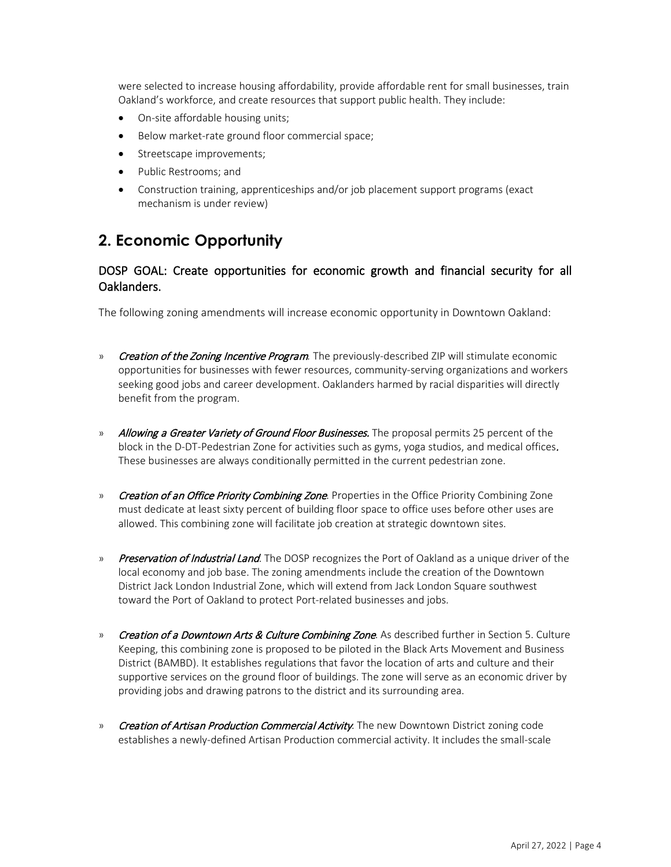were selected to increase housing affordability, provide affordable rent for small businesses, train Oakland's workforce, and create resources that support public health. They include:

- On-site affordable housing units;
- Below market-rate ground floor commercial space;
- Streetscape improvements;
- Public Restrooms; and
- Construction training, apprenticeships and/or job placement support programs (exact mechanism is under review)

### **2. Economic Opportunity**

#### DOSP GOAL: Create opportunities for economic growth and financial security for all Oaklanders.

The following zoning amendments will increase economic opportunity in Downtown Oakland:

- » Creation of the Zoning Incentive Program*.* The previously-described ZIP will stimulate economic opportunities for businesses with fewer resources, community-serving organizations and workers seeking good jobs and career development. Oaklanders harmed by racial disparities will directly benefit from the program.
- » Allowing a Greater Variety of Ground Floor Businesses. The proposal permits 25 percent of the block in the D-DT-Pedestrian Zone for activities such as gyms, yoga studios, and medical offices. These businesses are always conditionally permitted in the current pedestrian zone.
- » Creation of an Office Priority Combining Zone. Properties in the Office Priority Combining Zone must dedicate at least sixty percent of building floor space to office uses before other uses are allowed. This combining zone will facilitate job creation at strategic downtown sites.
- » Preservation of Industrial Land. The DOSP recognizes the Port of Oakland as a unique driver of the local economy and job base. The zoning amendments include the creation of the Downtown District Jack London Industrial Zone, which will extend from Jack London Square southwest toward the Port of Oakland to protect Port-related businesses and jobs.
- » Creation of a Downtown Arts & Culture Combining Zone. As described further in Section 5. Culture Keeping, this combining zone is proposed to be piloted in the Black Arts Movement and Business District (BAMBD). It establishes regulations that favor the location of arts and culture and their supportive services on the ground floor of buildings. The zone will serve as an economic driver by providing jobs and drawing patrons to the district and its surrounding area.
- » Creation of Artisan Production Commercial Activity. The new Downtown District zoning code establishes a newly-defined Artisan Production commercial activity. It includes the small-scale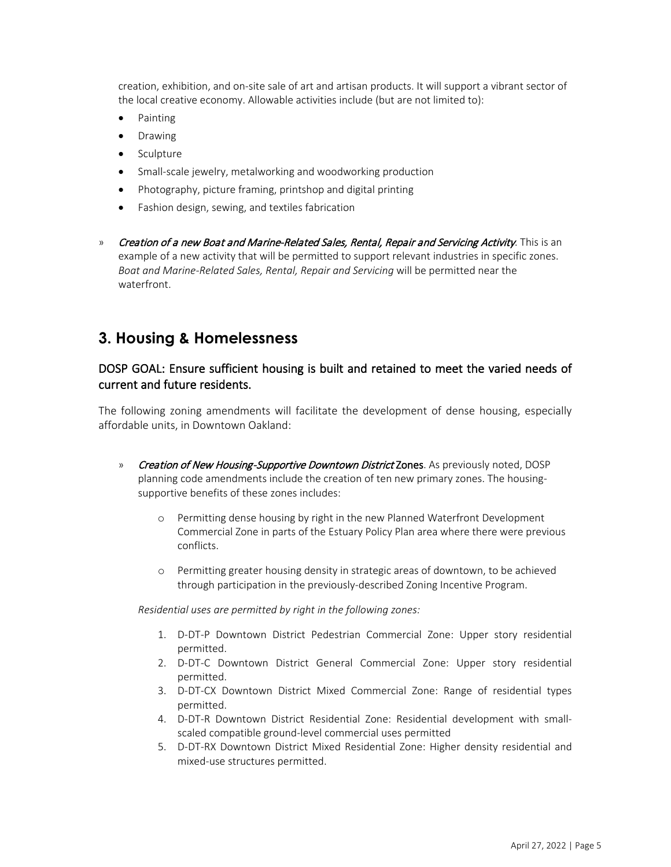creation, exhibition, and on-site sale of art and artisan products. It will support a vibrant sector of the local creative economy. Allowable activities include (but are not limited to):

- Painting
- Drawing
- Sculpture
- Small-scale jewelry, metalworking and woodworking production
- Photography, picture framing, printshop and digital printing
- Fashion design, sewing, and textiles fabrication
- » Creation of a new Boat and Marine-Related Sales, Rental, Repair and Servicing Activity. This is an example of a new activity that will be permitted to support relevant industries in specific zones. *Boat and Marine-Related Sales, Rental, Repair and Servicing* will be permitted near the waterfront.

### **3. Housing & Homelessness**

#### DOSP GOAL: Ensure sufficient housing is built and retained to meet the varied needs of current and future residents.

The following zoning amendments will facilitate the development of dense housing, especially affordable units, in Downtown Oakland:

- » Creation of New Housing-Supportive Downtown District Zones. As previously noted, DOSP planning code amendments include the creation of ten new primary zones. The housingsupportive benefits of these zones includes:
	- o Permitting dense housing by right in the new Planned Waterfront Development Commercial Zone in parts of the Estuary Policy Plan area where there were previous conflicts.
	- o Permitting greater housing density in strategic areas of downtown, to be achieved through participation in the previously-described Zoning Incentive Program.

*Residential uses are permitted by right in the following zones:*

- 1. D-DT-P Downtown District Pedestrian Commercial Zone: Upper story residential permitted.
- 2. D-DT-C Downtown District General Commercial Zone: Upper story residential permitted.
- 3. D-DT-CX Downtown District Mixed Commercial Zone: Range of residential types permitted.
- 4. D-DT-R Downtown District Residential Zone: Residential development with smallscaled compatible ground-level commercial uses permitted
- 5. D-DT-RX Downtown District Mixed Residential Zone: Higher density residential and mixed-use structures permitted.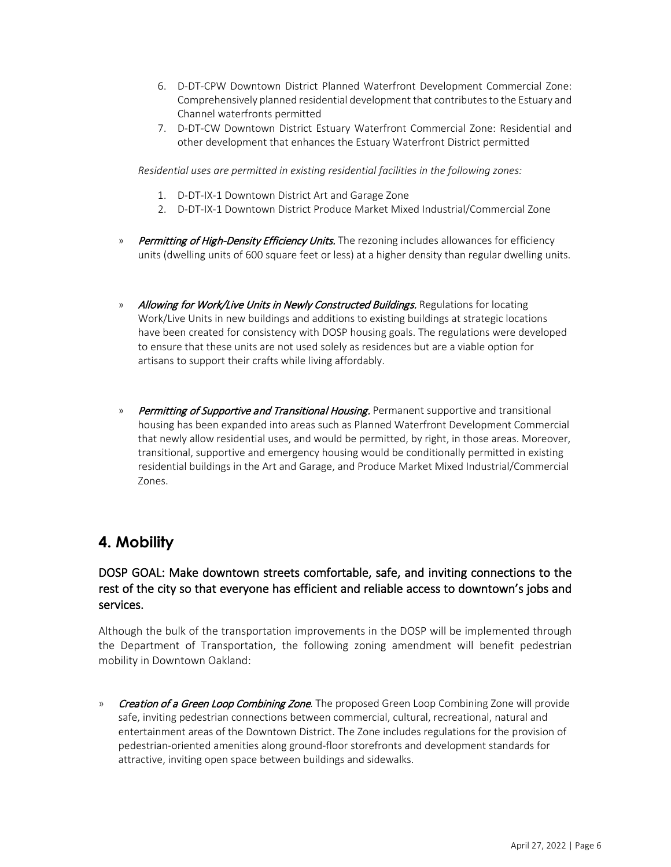- 6. D-DT-CPW Downtown District Planned Waterfront Development Commercial Zone: Comprehensively planned residential development that contributes to the Estuary and Channel waterfronts permitted
- 7. D-DT-CW Downtown District Estuary Waterfront Commercial Zone: Residential and other development that enhances the Estuary Waterfront District permitted

*Residential uses are permitted in existing residential facilities in the following zones:*

- 1. D-DT-IX-1 Downtown District Art and Garage Zone
- 2. D-DT-IX-1 Downtown District Produce Market Mixed Industrial/Commercial Zone
- » Permitting of High-Density Efficiency Units. The rezoning includes allowances for efficiency units (dwelling units of 600 square feet or less) at a higher density than regular dwelling units.
- » Allowing for Work/Live Units in Newly Constructed Buildings. Regulations for locating Work/Live Units in new buildings and additions to existing buildings at strategic locations have been created for consistency with DOSP housing goals. The regulations were developed to ensure that these units are not used solely as residences but are a viable option for artisans to support their crafts while living affordably.
- » Permitting of Supportive and Transitional Housing. Permanent supportive and transitional housing has been expanded into areas such as Planned Waterfront Development Commercial that newly allow residential uses, and would be permitted, by right, in those areas. Moreover, transitional, supportive and emergency housing would be conditionally permitted in existing residential buildings in the Art and Garage, and Produce Market Mixed Industrial/Commercial Zones.

### **4. Mobility**

#### DOSP GOAL: Make downtown streets comfortable, safe, and inviting connections to the rest of the city so that everyone has efficient and reliable access to downtown's jobs and services.

Although the bulk of the transportation improvements in the DOSP will be implemented through the Department of Transportation, the following zoning amendment will benefit pedestrian mobility in Downtown Oakland:

» Creation of a Green Loop Combining Zone. The proposed Green Loop Combining Zone will provide safe, inviting pedestrian connections between commercial, cultural, recreational, natural and entertainment areas of the Downtown District. The Zone includes regulations for the provision of pedestrian-oriented amenities along ground-floor storefronts and development standards for attractive, inviting open space between buildings and sidewalks.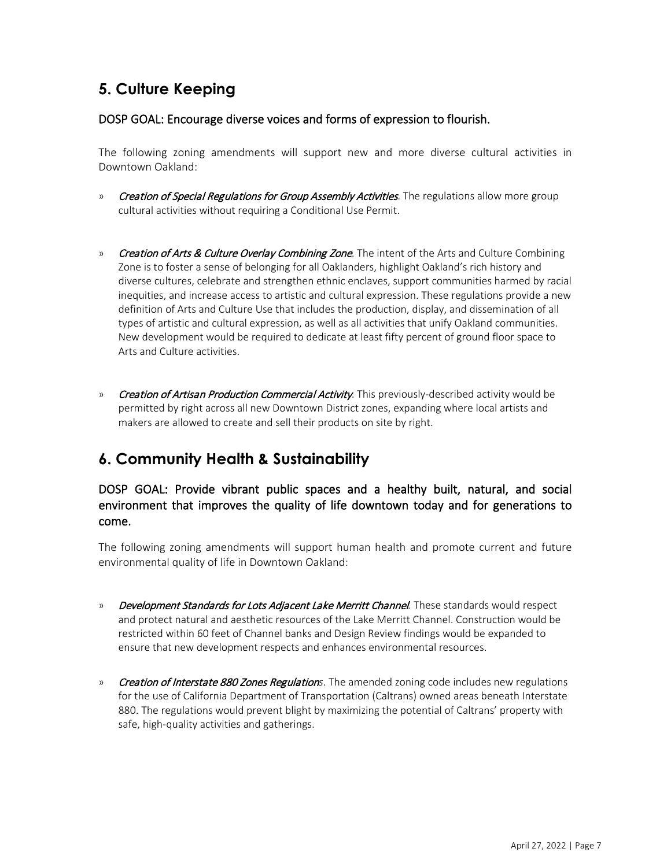## **5. Culture Keeping**

#### DOSP GOAL: Encourage diverse voices and forms of expression to flourish.

The following zoning amendments will support new and more diverse cultural activities in Downtown Oakland:

- » Creation of Special Regulations for Group Assembly Activities. The regulations allow more group cultural activities without requiring a Conditional Use Permit.
- » Creation of Arts & Culture Overlay Combining Zone. The intent of the Arts and Culture Combining Zone is to foster a sense of belonging for all Oaklanders, highlight Oakland's rich history and diverse cultures, celebrate and strengthen ethnic enclaves, support communities harmed by racial inequities, and increase access to artistic and cultural expression. These regulations provide a new definition of Arts and Culture Use that includes the production, display, and dissemination of all types of artistic and cultural expression, as well as all activities that unify Oakland communities. New development would be required to dedicate at least fifty percent of ground floor space to Arts and Culture activities.
- » Creation of Artisan Production Commercial Activity. This previously-described activity would be permitted by right across all new Downtown District zones, expanding where local artists and makers are allowed to create and sell their products on site by right.

# **6. Community Health & Sustainability**

#### DOSP GOAL: Provide vibrant public spaces and a healthy built, natural, and social environment that improves the quality of life downtown today and for generations to come.

The following zoning amendments will support human health and promote current and future environmental quality of life in Downtown Oakland:

- » Development Standards for Lots Adjacent Lake Merritt Channel*.* These standards would respect and protect natural and aesthetic resources of the Lake Merritt Channel. Construction would be restricted within 60 feet of Channel banks and Design Review findings would be expanded to ensure that new development respects and enhances environmental resources.
- » Creation of Interstate 880 Zones Regulation*s*. The amended zoning code includes new regulations for the use of California Department of Transportation (Caltrans) owned areas beneath Interstate 880. The regulations would prevent blight by maximizing the potential of Caltrans' property with safe, high-quality activities and gatherings.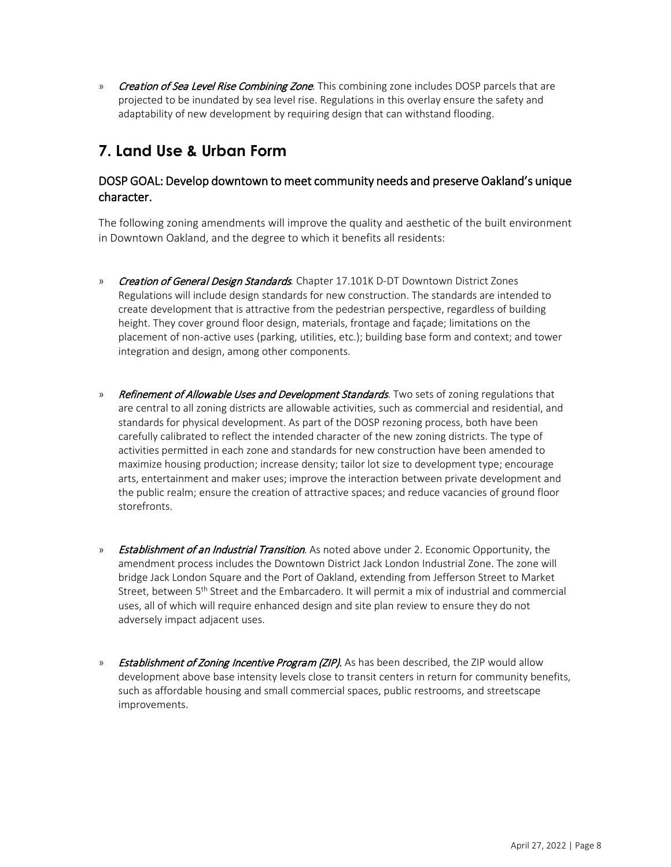» Creation of Sea Level Rise Combining Zone. This combining zone includes DOSP parcels that are projected to be inundated by sea level rise. Regulations in this overlay ensure the safety and adaptability of new development by requiring design that can withstand flooding.

# **7. Land Use & Urban Form**

#### DOSP GOAL: Develop downtown to meet community needs and preserve Oakland's unique character.

The following zoning amendments will improve the quality and aesthetic of the built environment in Downtown Oakland, and the degree to which it benefits all residents:

- » Creation of General Design Standards*.* Chapter 17.101K D-DT Downtown District Zones Regulations will include design standards for new construction. The standards are intended to create development that is attractive from the pedestrian perspective, regardless of building height. They cover ground floor design, materials, frontage and façade; limitations on the placement of non-active uses (parking, utilities, etc.); building base form and context; and tower integration and design, among other components.
- » Refinement of Allowable Uses and Development Standards. Two sets of zoning regulations that are central to all zoning districts are allowable activities, such as commercial and residential, and standards for physical development. As part of the DOSP rezoning process, both have been carefully calibrated to reflect the intended character of the new zoning districts. The type of activities permitted in each zone and standards for new construction have been amended to maximize housing production; increase density; tailor lot size to development type; encourage arts, entertainment and maker uses; improve the interaction between private development and the public realm; ensure the creation of attractive spaces; and reduce vacancies of ground floor storefronts.
- » **Establishment of an Industrial Transition**. As noted above under 2. Economic Opportunity, the amendment process includes the Downtown District Jack London Industrial Zone. The zone will bridge Jack London Square and the Port of Oakland, extending from Jefferson Street to Market Street, between 5<sup>th</sup> Street and the Embarcadero. It will permit a mix of industrial and commercial uses, all of which will require enhanced design and site plan review to ensure they do not adversely impact adjacent uses.
- » Establishment of Zoning Incentive Program (ZIP). As has been described, the ZIP would allow development above base intensity levels close to transit centers in return for community benefits, such as affordable housing and small commercial spaces, public restrooms, and streetscape improvements.